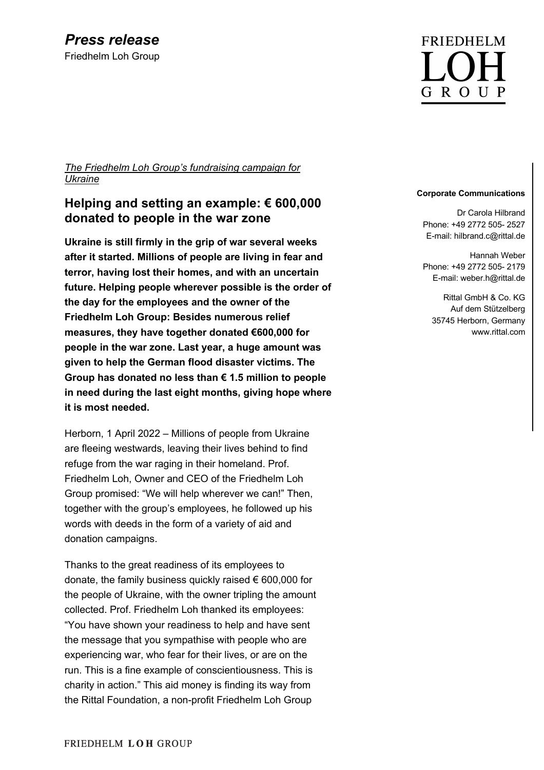*The Friedhelm Loh Group's fundraising campaign for Ukraine*

## **Helping and setting an example: € 600,000 donated to people in the war zone**

**Ukraine is still firmly in the grip of war several weeks after it started. Millions of people are living in fear and terror, having lost their homes, and with an uncertain future. Helping people wherever possible is the order of the day for the employees and the owner of the Friedhelm Loh Group: Besides numerous relief measures, they have together donated €600,000 for people in the war zone. Last year, a huge amount was given to help the German flood disaster victims. The Group has donated no less than € 1.5 million to people in need during the last eight months, giving hope where it is most needed.**

Herborn, 1 April 2022 – Millions of people from Ukraine are fleeing westwards, leaving their lives behind to find refuge from the war raging in their homeland. Prof. Friedhelm Loh, Owner and CEO of the Friedhelm Loh Group promised: "We will help wherever we can!" Then, together with the group's employees, he followed up his words with deeds in the form of a variety of aid and donation campaigns.

Thanks to the great readiness of its employees to donate, the family business quickly raised € 600,000 for the people of Ukraine, with the owner tripling the amount collected. Prof. Friedhelm Loh thanked its employees: "You have shown your readiness to help and have sent the message that you sympathise with people who are experiencing war, who fear for their lives, or are on the run. This is a fine example of conscientiousness. This is charity in action." This aid money is finding its way from the Rittal Foundation, a non-profit Friedhelm Loh Group

# **FRIEDHELM** G R O U P

### **Corporate Communications**

Dr Carola Hilbrand Phone: +49 2772 505- 2527 E-mail: hilbrand.c@rittal.de

Hannah Weber Phone: +49 2772 505- 2179 E-mail: weber.h@rittal.de

Rittal GmbH & Co. KG Auf dem Stützelberg 35745 Herborn, Germany www.rittal.com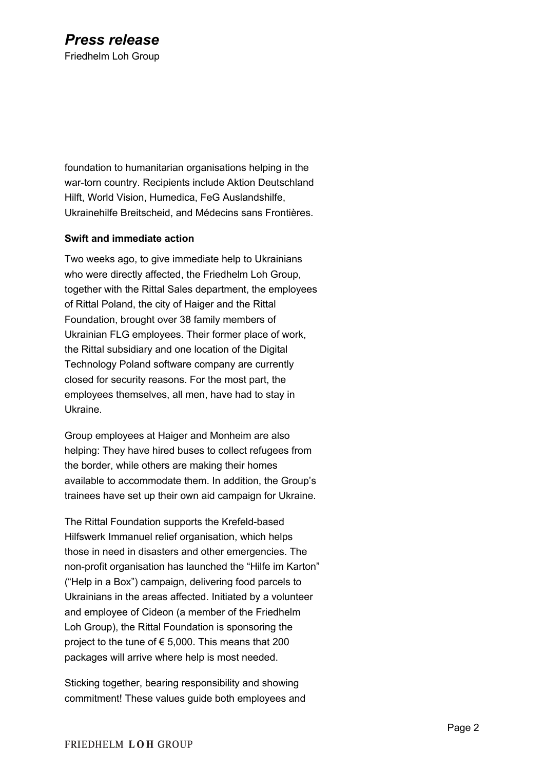foundation to humanitarian organisations helping in the war-torn country. Recipients include Aktion Deutschland Hilft, World Vision, Humedica, FeG Auslandshilfe, Ukrainehilfe Breitscheid, and Médecins sans Frontières.

## **Swift and immediate action**

Two weeks ago, to give immediate help to Ukrainians who were directly affected, the Friedhelm Loh Group, together with the Rittal Sales department, the employees of Rittal Poland, the city of Haiger and the Rittal Foundation, brought over 38 family members of Ukrainian FLG employees. Their former place of work, the Rittal subsidiary and one location of the Digital Technology Poland software company are currently closed for security reasons. For the most part, the employees themselves, all men, have had to stay in Ukraine.

Group employees at Haiger and Monheim are also helping: They have hired buses to collect refugees from the border, while others are making their homes available to accommodate them. In addition, the Group's trainees have set up their own aid campaign for Ukraine.

The Rittal Foundation supports the Krefeld-based Hilfswerk Immanuel relief organisation, which helps those in need in disasters and other emergencies. The non-profit organisation has launched the "Hilfe im Karton" ("Help in a Box") campaign, delivering food parcels to Ukrainians in the areas affected. Initiated by a volunteer and employee of Cideon (a member of the Friedhelm Loh Group), the Rittal Foundation is sponsoring the project to the tune of  $\epsilon$  5,000. This means that 200 packages will arrive where help is most needed.

Sticking together, bearing responsibility and showing commitment! These values guide both employees and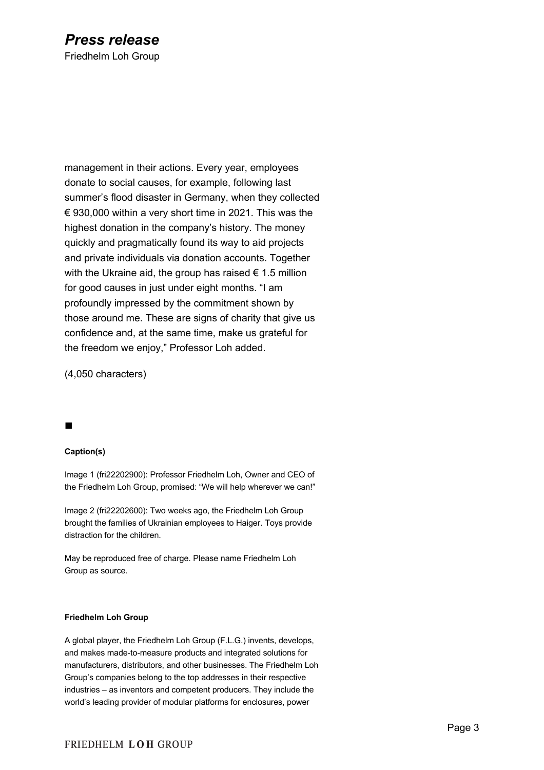## *Press release* Friedhelm Loh Group

management in their actions. Every year, employees donate to social causes, for example, following last summer's flood disaster in Germany, when they collected  $\epsilon$  930,000 within a very short time in 2021. This was the highest donation in the company's history. The money quickly and pragmatically found its way to aid projects and private individuals via donation accounts. Together with the Ukraine aid, the group has raised  $\epsilon$  1.5 million for good causes in just under eight months. "I am profoundly impressed by the commitment shown by those around me. These are signs of charity that give us confidence and, at the same time, make us grateful for the freedom we enjoy," Professor Loh added.

(4,050 characters)

## n

#### **Caption(s)**

Image 1 (fri22202900): Professor Friedhelm Loh, Owner and CEO of the Friedhelm Loh Group, promised: "We will help wherever we can!"

Image 2 (fri22202600): Two weeks ago, the Friedhelm Loh Group brought the families of Ukrainian employees to Haiger. Toys provide distraction for the children.

May be reproduced free of charge. Please name Friedhelm Loh Group as source.

#### **Friedhelm Loh Group**

A global player, the Friedhelm Loh Group (F.L.G.) invents, develops, and makes made-to-measure products and integrated solutions for manufacturers, distributors, and other businesses. The Friedhelm Loh Group's companies belong to the top addresses in their respective industries – as inventors and competent producers. They include the world's leading provider of modular platforms for enclosures, power